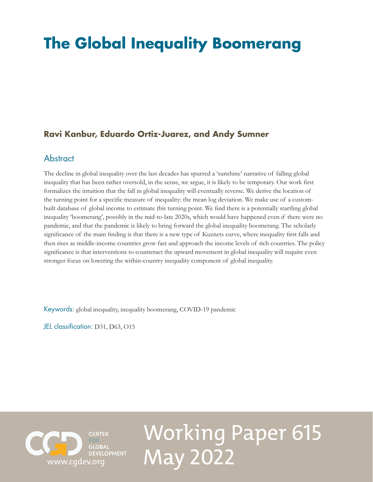## **The Global Inequality Boomerang**

## **Ravi Kanbur, Eduardo Ortiz-Juarez, and Andy Sumner**

## **Abstract**

The decline in global inequality over the last decades has spurred a 'sunshine' narrative of falling global inequality that has been rather oversold, in the sense, we argue, it is likely to be temporary. Our work first formalizes the intuition that the fall in global inequality will eventually reverse. We derive the location of the turning point for a specific measure of inequality: the mean log deviation. We make use of a custombuilt database of global income to estimate this turning point. We find there is a potentially startling global inequality 'boomerang', possibly in the mid-to-late 2020s, which would have happened even if there were no pandemic, and that the pandemic is likely to bring forward the global inequality boomerang. The scholarly significance of the main finding is that there is a new type of Kuznets curve, where inequality first falls and then rises as middle-income countries grow fast and approach the income levels of rich countries. The policy significance is that interventions to counteract the upward movement in global inequality will require even stronger focus on lowering the within-country inequality component of global inequality.

Keywords: global inequality, inequality boomerang, COVID-19 pandemic

JEL classification: D31, D63, O15



# Working Paper 615 May 2022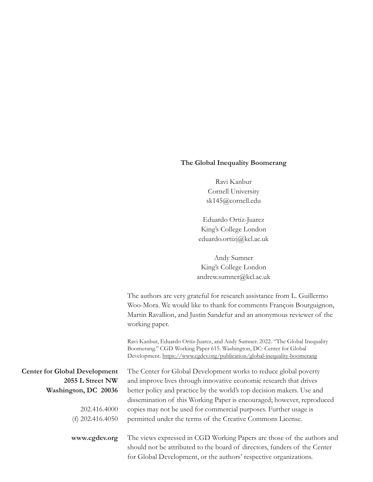#### **The Global Inequality Boomerang**

Ravi Kanbur Cornell University [sk145@cornell.edu](mailto:sk145@cornell.edu)

Eduardo Ortiz-Juarez King's College London [eduardo.ortizj@kcl.ac.uk](mailto:eduardo.ortizj@kcl.ac.uk)

Andy Sumner King's College London [andrew.sumner@kcl.ac.uk](mailto:andrew.sumner@kcl.ac.uk)

The authors are very grateful for research assistance from L. Guillermo Woo-Mora. We would like to thank for comments François Bourguignon, Martin Ravallion, and Justin Sandefur and an anonymous reviewer of the working paper.

Ravi Kanbur, Eduardo Ortiz-Juarez, and Andy Sumner. 2022. "The Global Inequality Boomerang." CGD Working Paper 615. Washington, DC: Center for Global Development. <https://www.cgdev.org/publication/global-inequality-boomerang>

**Center for Global Development 2055 L Street NW Washington, DC 20036**

> 202.416.4000 (f) 202.416.4050

**www.cgdev.org**

The Center for Global Development works to reduce global poverty and improve lives through innovative economic research that drives better policy and practice by the world's top decision makers. Use and dissemination of this Working Paper is encouraged; however, reproduced copies may not be used for commercial purposes. Further usage is permitted under the terms of the Creative Commons License.

The views expressed in CGD Working Papers are those of the authors and should not be attributed to the board of directors, funders of the Center for Global Development, or the authors' respective organizations.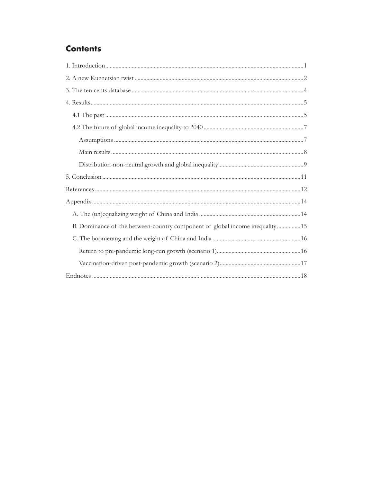## **Contents**

| B. Dominance of the between-country component of global income inequality15 |
|-----------------------------------------------------------------------------|
|                                                                             |
|                                                                             |
|                                                                             |
|                                                                             |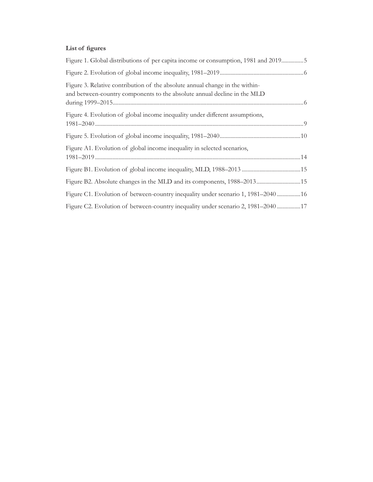## **List of figures**

| Figure 1. Global distributions of per capita income or consumption, 1981 and 20195                                                                       |
|----------------------------------------------------------------------------------------------------------------------------------------------------------|
|                                                                                                                                                          |
| Figure 3. Relative contribution of the absolute annual change in the within-<br>and between-country components to the absolute annual decline in the MLD |
| Figure 4. Evolution of global income inequality under different assumptions,                                                                             |
|                                                                                                                                                          |
| Figure A1. Evolution of global income inequality in selected scenarios,                                                                                  |
|                                                                                                                                                          |
| Figure B2. Absolute changes in the MLD and its components, 1988-201315                                                                                   |
| Figure C1. Evolution of between-country inequality under scenario 1, 1981–2040 16                                                                        |
| Figure C2. Evolution of between-country inequality under scenario 2, 1981–2040 17                                                                        |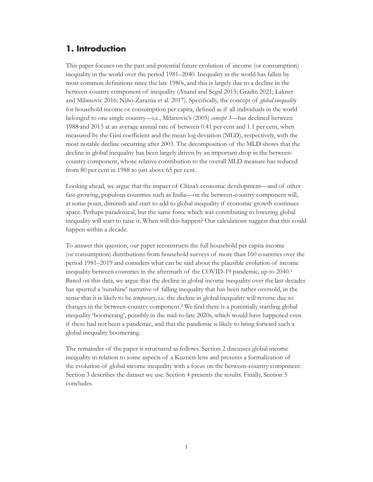## <span id="page-4-0"></span>**1. Introduction**

This paper focuses on the past and potential future evolution of income (or consumption) inequality in the world over the period 1981–2040. Inequality in the world has fallen by most common definitions since the late 1980s, and this is largely due to a decline in the between-country component of inequality (Anand and Segal 2015; Gradín 2021; Lakner and Milanovic 2016; Niño-Zarazúa et al. 2017). Specifically, the concept of *global inequality* for household income or consumption per capita, defined as if all individuals in the world belonged to one single country—i.e., Milanovic's (2005) *concept 3*—has declined between 1988 and 2013 at an average annual rate of between 0.41 per cent and 1.1 per cent, when measured by the Gini coefficient and the mean log deviation (MLD), respectively, with the most notable decline occurring after 2003. The decomposition of the MLD shows that the decline in global inequality has been largely driven by an important drop in the betweencountry component, whose relative contribution to the overall MLD measure has reduced from 80 per cent in 1988 to just above 65 per cent.

Looking ahead, we argue that the impact of China's economic development—and of other fast-growing, populous countries such as India—on the between-country component will, at some point, diminish and start to add to global inequality if economic growth continues apace. Perhaps paradoxical, but the same force which was contributing to lowering global inequality will start to raise it. When will this happen? Our calculations suggest that this could happen within a decade.

To answer this question, our paper reconstructs the full household per capita income (or consumption) distributions from household surveys of more than 160 countries over the period 1981–2019 and considers what can be said about the plausible evolution of income inequality between countries in the aftermath of the COVID-19 pandemic, up to 2040.1 Based on this data, we argue that the decline in global income inequality over the last decades has spurred a 'sunshine' narrative of falling inequality that has been rather oversold, in the sense that it is likely to be *temporary*, i.e. the decline in global inequality will reverse due to changes in the between-country component.2 We find there is a potentially startling global inequality 'boomerang', possibly in the mid-to-late 2020s, which would have happened even if there had not been a pandemic, and that the pandemic is likely to bring forward such a global inequality boomerang.

The remainder of the paper is structured as follows. Section 2 discusses global income inequality in relation to some aspects of a Kuznets lens and presents a formalization of the evolution of global income inequality with a focus on the between-country component. Section 3 describes the dataset we use. Section 4 presents the results. Finally, Section 5 concludes.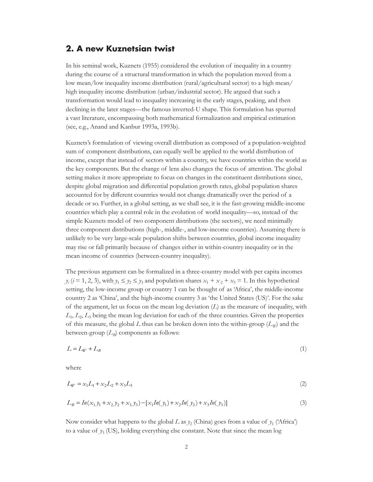### <span id="page-5-0"></span>**2. A new Kuznetsian twist**

In his seminal work, Kuznets (1955) considered the evolution of inequality in a country during the course of a structural transformation in which the population moved from a low mean/low inequality income distribution (rural/agricultural sector) to a high mean/ high inequality income distribution (urban/industrial sector). He argued that such a transformation would lead to inequality increasing in the early stages, peaking, and then declining in the later stages—the famous inverted-U shape. This formulation has spurred a vast literature, encompassing both mathematical formalization and empirical estimation (see, e.g., Anand and Kanbur 1993a, 1993b).

Kuznets's formulation of viewing overall distribution as composed of a population-weighted sum of component distributions, can equally well be applied to the world distribution of income, except that instead of sectors within a country, we have countries within the world as the key components. But the change of lens also changes the focus of attention. The global setting makes it more appropriate to focus on changes in the constituent distributions since, despite global migration and differential population growth rates, global population shares accounted for by different countries would not change dramatically over the period of a decade or so. Further, in a global setting, as we shall see, it is the fast-growing middle-income countries which play a central role in the evolution of world inequality—so, instead of the simple Kuznets model of two component distributions (the sectors), we need minimally three component distributions (high-, middle-, and low-income countries). Assuming there is unlikely to be very large-scale population shifts between countries, global income inequality may rise or fall primarily because of changes either in within-country inequality or in the mean income of countries (between-country inequality).

The previous argument can be formalized in a three-country model with per capita incomes  $y_i$  (*i* = 1, 2, 3), with  $y_1 \le y_2 \le y_3$  and population shares  $x_1 + x_2 + x_3 = 1$ . In this hypothetical setting, the low-income group or country 1 can be thought of as 'Africa', the middle-income country 2 as 'China', and the high-income country 3 as 'the United States (US)'. For the sake of the argument, let us focus on the mean log deviation  $(L)$  as the measure of inequality, with  $L_1, L_2, L_3$  being the mean log deviation for each of the three countries. Given the properties of this measure, the global *L* thus can be broken down into the within-group  $(L_W)$  and the between-group  $(L_B)$  components as follows:

$$
L = L_W + L_B \tag{1}
$$

where

$$
L_W = x_1 L_1 + x_2 L_2 + x_3 L_3 \tag{2}
$$

$$
L_B = In(x_1y_1 + x_2y_2 + x_3y_3) - [x_1In(y_1) + x_2In(y_2) + x_3In(y_3)]
$$
\n(3)

Now consider what happens to the global *L* as  $y_2$  (China) goes from a value of  $y_1$  ('Africa') to a value of  $y_3$  (US), holding everything else constant. Note that since the mean log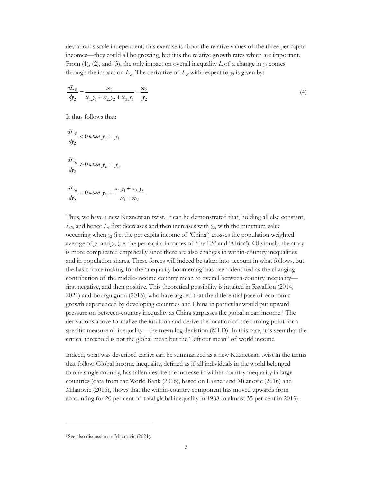deviation is scale independent, this exercise is about the relative values of the three per capita incomes—they could all be growing, but it is the relative growth rates which are important. From (1), (2), and (3), the only impact on overall inequality *L* of a change in  $y_2$  comes through the impact on  $L_B$ . The derivative of  $L_B$  with respect to  $y_2$  is given by:

$$
\frac{dL_B}{dy_2} = \frac{x_2}{x_1 y_1 + x_2 y_2 + x_3 y_3} - \frac{x_2}{y_2}
$$
\n(4)

It thus follows that:

 $\overline{\mathbf{r}}$ 

$$
\frac{dL_B}{dy_2} < 0 \text{ when } y_2 = y_1
$$
\n
$$
\frac{dL_B}{dy_2} > 0 \text{ when } y_2 = y_3
$$
\n
$$
\frac{dL_B}{dy_2} = 0 \text{ when } y_2 = \frac{x_1 y_1 + x_3 y_3}{x_1 + x_3}
$$

Thus, we have a new Kuznetsian twist. It can be demonstrated that, holding all else constant,  $L_B$ , and hence  $L$ , first decreases and then increases with  $y_2$ , with the minimum value occurring when  $y_2$  (i.e. the per capita income of 'China') crosses the population weighted average of  $y_1$  and  $y_3$  (i.e. the per capita incomes of 'the US' and 'Africa'). Obviously, the story is more complicated empirically since there are also changes in within-country inequalities and in population shares. These forces will indeed be taken into account in what follows, but the basic force making for the 'inequality boomerang' has been identified as the changing contribution of the middle-income country mean to overall between-country inequality first negative, and then positive. This theoretical possibility is intuited in Ravallion (2014, 2021) and Bourguignon (2015), who have argued that the differential pace of economic growth experienced by developing countries and China in particular would put upward pressure on between-country inequality as China surpasses the global mean income.1 The derivations above formalize the intuition and derive the location of the turning point for a specific measure of inequality—the mean log deviation (MLD). In this case, it is seen that the critical threshold is not the global mean but the "left out mean" of world income.

Indeed, what was described earlier can be summarized as a new Kuznetsian twist in the terms that follow. Global income inequality, defined as if all individuals in the world belonged to one single country, has fallen despite the increase in within-country inequality in large countries (data from the World Bank (2016), based on Lakner and Milanovic (2016) and Milanovic (2016), shows that the within-country component has moved upwards from accounting for 20 per cent of total global inequality in 1988 to almost 35 per cent in 2013).

<sup>1</sup> See also discussion in Milanovic (2021).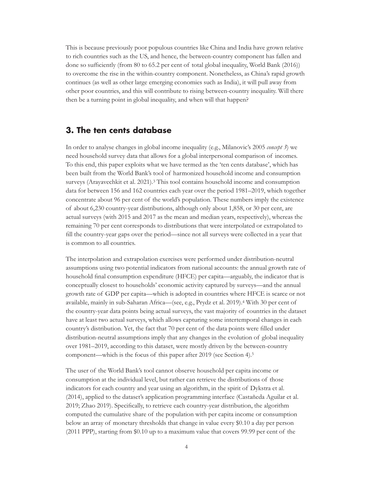<span id="page-7-0"></span>This is because previously poor populous countries like China and India have grown relative to rich countries such as the US, and hence, the between-country component has fallen and done so sufficiently (from 80 to 65.2 per cent of total global inequality, World Bank (2016)) to overcome the rise in the within-country component. Nonetheless, as China's rapid growth continues (as well as other large emerging economies such as India), it will pull away from other poor countries, and this will contribute to rising between-country inequality. Will there then be a turning point in global inequality, and when will that happen?

## **3. The ten cents database**

In order to analyse changes in global income inequality (e.g., Milanovic's 2005 *concept 3*) we need household survey data that allows for a global interpersonal comparison of incomes. To this end, this paper exploits what we have termed as the 'ten cents database', which has been built from the World Bank's tool of harmonized household income and consumption surveys (Arayavechkit et al. 2021).<sup>3</sup> This tool contains household income and consumption data for between 156 and 162 countries each year over the period 1981–2019, which together concentrate about 96 per cent of the world's population. These numbers imply the existence of about 6,230 country-year distributions, although only about 1,858, or 30 per cent, are actual surveys (with 2015 and 2017 as the mean and median years, respectively), whereas the remaining 70 per cent corresponds to distributions that were interpolated or extrapolated to fill the country-year gaps over the period—since not all surveys were collected in a year that is common to all countries.

The interpolation and extrapolation exercises were performed under distribution-neutral assumptions using two potential indicators from national accounts: the annual growth rate of household final consumption expenditure (HFCE) per capita—arguably, the indicator that is conceptually closest to households' economic activity captured by surveys—and the annual growth rate of GDP per capita—which is adopted in countries where HFCE is scarce or not available, mainly in sub-Saharan Africa—(see, e.g., Prydz et al. 2019).4 With 30 per cent of the country-year data points being actual surveys, the vast majority of countries in the dataset have at least two actual surveys, which allows capturing some intertemporal changes in each country's distribution. Yet, the fact that 70 per cent of the data points were filled under distribution-neutral assumptions imply that any changes in the evolution of global inequality over 1981–2019, according to this dataset, were mostly driven by the between-country component—which is the focus of this paper after 2019 (see Section 4).5

The user of the World Bank's tool cannot observe household per capita income or consumption at the individual level, but rather can retrieve the distributions of those indicators for each country and year using an algorithm, in the spirit of Dykstra et al. (2014), applied to the dataset's application programming interface (Castañeda Aguilar et al. 2019; Zhao 2019). Specifically, to retrieve each country-year distribution, the algorithm computed the cumulative share of the population with per capita income or consumption below an array of monetary thresholds that change in value every \$0.10 a day per person (2011 PPP), starting from \$0.10 up to a maximum value that covers 99.99 per cent of the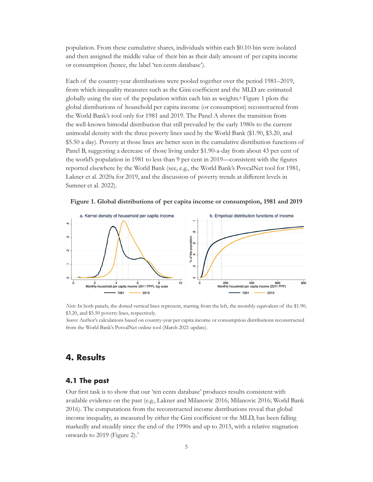<span id="page-8-0"></span>population. From these cumulative shares, individuals within each \$0.10-bin were isolated and then assigned the middle value of their bin as their daily amount of per capita income or consumption (hence, the label 'ten cents database').

Each of the country-year distributions were pooled together over the period 1981–2019, from which inequality measures such as the Gini coefficient and the MLD are estimated globally using the size of the population within each bin as weights.6 Figure 1 plots the global distributions of household per capita income (or consumption) reconstructed from the World Bank's tool only for 1981 and 2019. The Panel A shows the transition from the well-known bimodal distribution that still prevailed by the early 1980s to the current unimodal density with the three poverty lines used by the World Bank (\$1.90, \$3.20, and \$5.50 a day). Poverty at those lines are better seen in the cumulative distribution functions of Panel B, suggesting a decrease of those living under \$1.90-a-day from about 43 per cent of the world's population in 1981 to less than 9 per cent in 2019—consistent with the figures reported elsewhere by the World Bank (see, e.g., the World Bank's PovcalNet tool for 1981, Lakner et al. 2020a for 2019, and the discussion of poverty trends at different levels in Sumner et al. 2022).





*Note:* In both panels, the dotted vertical lines represent, starting from the left, the monthly equivalent of the \$1.90, \$3.20, and \$5.50 poverty lines, respectively.

*Source:* Author's calculations based on country-year per capita income or consumption distributions reconstructed from the World Bank's PovcalNet online tool (March 2021 update).

## **4. Results**

#### **4.1 The past**

Our first task is to show that our 'ten cents database' produces results consistent with available evidence on the past (e.g., Lakner and Milanovic 2016; Milanovic 2016; World Bank 2016). The computations from the reconstructed income distributions reveal that global income inequality, as measured by either the Gini coefficient or the MLD, has been falling markedly and steadily since the end of the 1990s and up to 2015, with a relative stagnation onwards to 2019 (Figure 2).7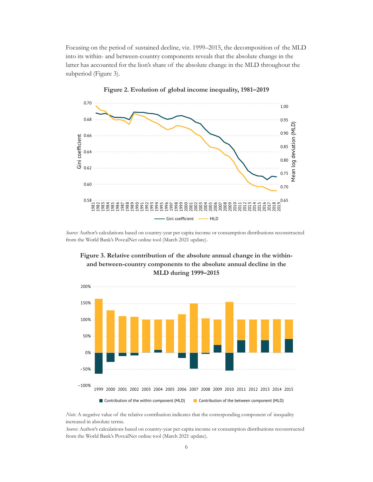<span id="page-9-0"></span>Focusing on the period of sustained decline, viz. 1999–2015, the decomposition of the MLD into its within- and between-country components reveals that the absolute change in the latter has accounted for the lion's share of the absolute change in the MLD throughout the subperiod (Figure 3).





*Source:* Author's calculations based on country-year per capita income or consumption distributions reconstructed from the World Bank's PovcalNet online tool (March 2021 update).



**Figure 3. Relative contribution of the absolute annual change in the withinand between-country components to the absolute annual decline in the MLD during 1999–2015**

*Note:* A negative value of the relative contribution indicates that the corresponding component of inequality increased in absolute terms.

*Source:* Author's calculations based on country-year per capita income or consumption distributions reconstructed from the World Bank's PovcalNet online tool (March 2021 update).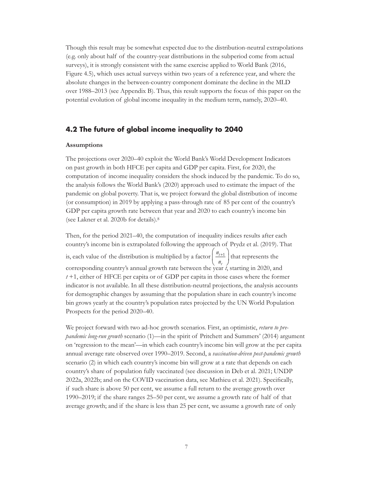<span id="page-10-0"></span>Though this result may be somewhat expected due to the distribution-neutral extrapolations (e.g. only about half of the country-year distributions in the subperiod come from actual surveys), it is strongly consistent with the same exercise applied to World Bank (2016, Figure 4.5), which uses actual surveys within two years of a reference year, and where the absolute changes in the between-country component dominate the decline in the MLD over 1988–2013 (see Appendix B). Thus, this result supports the focus of this paper on the potential evolution of global income inequality in the medium term, namely, 2020–40.

#### **4.2 The future of global income inequality to 2040**

#### **Assumptions**

The projections over 2020–40 exploit the World Bank's World Development Indicators on past growth in both HFCE per capita and GDP per capita. First, for 2020, the computation of income inequality considers the shock induced by the pandemic. To do so, the analysis follows the World Bank's (2020) approach used to estimate the impact of the pandemic on global poverty. That is, we project forward the global distribution of income (or consumption) in 2019 by applying a pass-through rate of 85 per cent of the country's GDP per capita growth rate between that year and 2020 to each country's income bin (see Lakner et al. 2020b for details).8

Then, for the period 2021–40, the computation of inequality indices results after each country's income bin is extrapolated following the approach of Prydz et al. (2019). That is, each value of the distribution is multiplied by a factor  $\int_0^{\infty}$ *n t t*  $\left( n_{t+1} \right)$  $\setminus$  $\left(\frac{n_{t+1}}{n}\right)$ J  $\frac{1}{1}$  that represents the corresponding country's annual growth rate between the year *t*, starting in 2020, and *t* +1, either of HFCE per capita or of GDP per capita in those cases where the former indicator is not available. In all these distribution-neutral projections, the analysis accounts for demographic changes by assuming that the population share in each country's income bin grows yearly at the country's population rates projected by the UN World Population Prospects for the period 2020–40.

We project forward with two ad-hoc growth scenarios. First, an optimistic, *return to prepandemic long-run growth* scenario (1)—in the spirit of Pritchett and Summers' (2014) argument on 'regression to the mean'—in which each country's income bin will grow at the per capita annual average rate observed over 1990–2019. Second, a *vaccination-driven post-pandemic growth* scenario (2) in which each country's income bin will grow at a rate that depends on each country's share of population fully vaccinated (see discussion in Deb et al. 2021; UNDP 2022a, 2022b; and on the COVID vaccination data, see Mathieu et al. 2021). Specifically, if such share is above 50 per cent, we assume a full return to the average growth over 1990–2019; if the share ranges 25–50 per cent, we assume a growth rate of half of that average growth; and if the share is less than 25 per cent, we assume a growth rate of only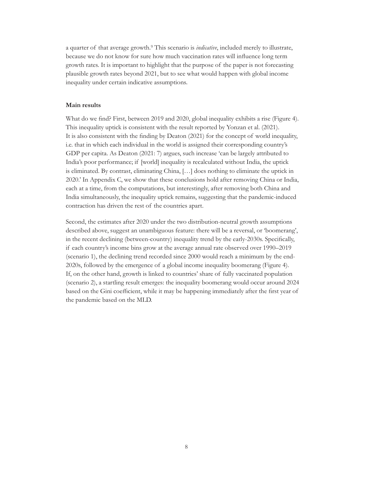<span id="page-11-0"></span>a quarter of that average growth.9 This scenario is *indicative*, included merely to illustrate, because we do not know for sure how much vaccination rates will influence long term growth rates. It is important to highlight that the purpose of the paper is not forecasting plausible growth rates beyond 2021, but to see what would happen with global income inequality under certain indicative assumptions.

#### **Main results**

What do we find? First, between 2019 and 2020, global inequality exhibits a rise (Figure 4). This inequality uptick is consistent with the result reported by Yonzan et al. (2021). It is also consistent with the finding by Deaton (2021) for the concept of world inequality, i.e. that in which each individual in the world is assigned their corresponding country's GDP per capita. As Deaton (2021: 7) argues, such increase 'can be largely attributed to India's poor performance; if [world] inequality is recalculated without India, the uptick is eliminated. By contrast, eliminating China, […] does nothing to eliminate the uptick in 2020.' In Appendix C, we show that these conclusions hold after removing China or India, each at a time, from the computations, but interestingly, after removing both China and India simultaneously, the inequality uptick remains, suggesting that the pandemic-induced contraction has driven the rest of the countries apart.

Second, the estimates after 2020 under the two distribution-neutral growth assumptions described above, suggest an unambiguous feature: there will be a reversal, or 'boomerang', in the recent declining (between-country) inequality trend by the early-2030s. Specifically, if each country's income bins grow at the average annual rate observed over 1990–2019 (scenario 1), the declining trend recorded since 2000 would reach a minimum by the end-2020s, followed by the emergence of a global income inequality boomerang (Figure 4). If, on the other hand, growth is linked to countries' share of fully vaccinated population (scenario 2), a startling result emerges: the inequality boomerang would occur around 2024 based on the Gini coefficient, while it may be happening immediately after the first year of the pandemic based on the MLD.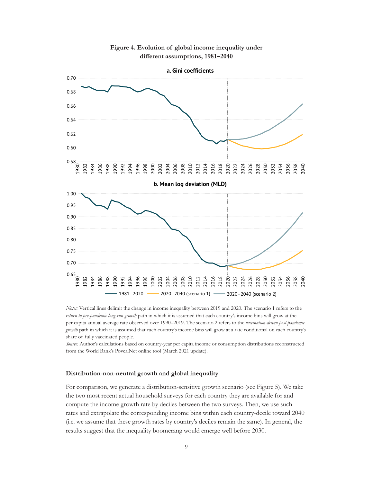<span id="page-12-0"></span>

#### **Figure 4. Evolution of global income inequality under different assumptions, 1981–2040**

*Notes:* Vertical lines delimit the change in income inequality between 2019 and 2020. The scenario 1 refers to the *return to pre-pandemic long-run growth* path in which it is assumed that each country's income bins will grow at the per capita annual average rate observed over 1990–2019. The scenario 2 refers to the *vaccination-driven post-pandemic growth* path in which it is assumed that each country's income bins will grow at a rate conditional on each country's share of fully vaccinated people.

*Source:* Author's calculations based on country-year per capita income or consumption distributions reconstructed from the World Bank's PovcalNet online tool (March 2021 update).

#### **Distribution-non-neutral growth and global inequality**

For comparison, we generate a distribution-sensitive growth scenario (see Figure 5). We take the two most recent actual household surveys for each country they are available for and compute the income growth rate by deciles between the two surveys. Then, we use such rates and extrapolate the corresponding income bins within each country-decile toward 2040 (i.e. we assume that these growth rates by country's deciles remain the same). In general, the results suggest that the inequality boomerang would emerge well before 2030.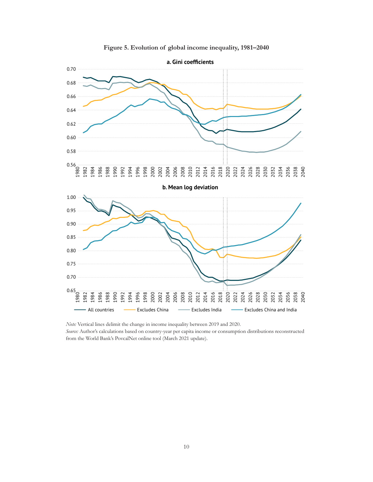<span id="page-13-0"></span>

**Figure 5. Evolution of global income inequality, 1981–2040**

from the World Bank's PovcalNet online tool (March 2021 update).

*Note:* Vertical lines delimit the change in income inequality between 2019 and 2020. *Source:* Author's calculations based on country-year per capita income or consumption distributions reconstructed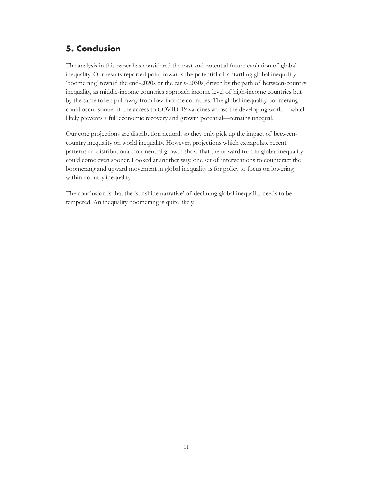## <span id="page-14-0"></span>**5. Conclusion**

The analysis in this paper has considered the past and potential future evolution of global inequality. Our results reported point towards the potential of a startling global inequality 'boomerang' toward the end-2020s or the early-2030s, driven by the path of between-country inequality, as middle-income countries approach income level of high-income countries but by the same token pull away from low-income countries. The global inequality boomerang could occur sooner if the access to COVID-19 vaccines across the developing world—which likely prevents a full economic recovery and growth potential—remains unequal.

Our core projections are distribution neutral, so they only pick up the impact of betweencountry inequality on world inequality. However, projections which extrapolate recent patterns of distributional non-neutral growth show that the upward turn in global inequality could come even sooner. Looked at another way, one set of interventions to counteract the boomerang and upward movement in global inequality is for policy to focus on lowering within-country inequality.

The conclusion is that the 'sunshine narrative' of declining global inequality needs to be tempered. An inequality boomerang is quite likely.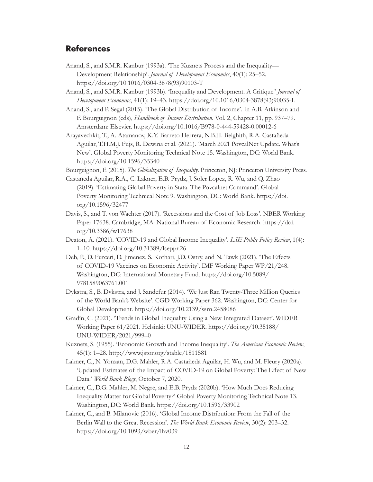## <span id="page-15-0"></span>**References**

- Anand, S., and S.M.R. Kanbur (1993a). 'The Kuznets Process and the Inequality— Development Relationship'. *Journal of Development Economics*, 40(1): 25–52. [https://doi.org/10.1016/0304-3878\(93\)90103-T](https://doi.org/10.1016/0304-3878(93)90103-T)
- Anand, S., and S.M.R. Kanbur (1993b). 'Inequality and Development. A Critique.' *Journal of Development Economics*, 41(1): 19–43. [https://doi.org/10.1016/0304-3878\(93\)90035-L](https://doi.org/10.1016/0304-3878(93)90035-L)
- Anand, S., and P. Segal (2015). 'The Global Distribution of Income'. In A.B. Atkinson and F. Bourguignon (eds), *Handbook of Income Distribution*. Vol. 2, Chapter 11, pp. 937–79. Amsterdam: Elsevier. <https://doi.org/10.1016/B978-0-444-59428-0.00012-6>
- Arayavechkit, T., A. Atamanov, K.Y. Barreto Herrera, N.B.H. Belghith, R.A. Castañeda Aguilar, T.H.M.J. Fujs, R. Dewina et al. (2021). 'March 2021 PovcalNet Update. What's New'. Global Poverty Monitoring Technical Note 15. Washington, DC: World Bank. <https://doi.org/10.1596/35340>

Bourguignon, F. (2015). *The Globalization of Inequality*. Princeton, NJ: Princeton University Press.

- Castañeda Aguilar, R.A., C. Lakner, E.B. Prydz, J. Soler Lopez, R. Wu, and Q. Zhao (2019). 'Estimating Global Poverty in Stata. The Povcalnet Command'. Global Poverty Monitoring Technical Note 9. Washington, DC: World Bank. [https://doi.](https://doi.org/10.1596/32477) [org/10.1596/32477](https://doi.org/10.1596/32477)
- Davis, S., and T. von Wachter (2017). 'Recessions and the Cost of Job Loss'. NBER Working Paper 17638. Cambridge, MA: National Bureau of Economic Research. [https://doi.](https://doi.org/10.3386/w17638) [org/10.3386/w17638](https://doi.org/10.3386/w17638)
- Deaton, A. (2021). 'COVID-19 and Global Income Inequality'. *LSE Public Policy Review*, 1(4): 1–10. <https://doi.org/10.31389/lseppr.26>
- Deb, P., D. Furceri, D. Jimenez, S. Kothari, J.D. Ostry, and N. Tawk (2021). 'The Effects of COVID-19 Vaccines on Economic Activity'. IMF Working Paper WP/21/248. Washington, DC: International Monetary Fund. [https://doi.org/10.5089/](https://doi.org/10.5089/9781589063761.001) [9781589063761.001](https://doi.org/10.5089/9781589063761.001)
- Dykstra, S., B. Dykstra, and J. Sandefur (2014). 'We Just Ran Twenty-Three Million Queries of the World Bank's Website'. CGD Working Paper 362. Washington, DC: Center for Global Development.<https://doi.org/10.2139/ssrn.2458086>
- Gradín, C. (2021). 'Trends in Global Inequality Using a New Integrated Dataset'. WIDER Working Paper 61/2021. Helsinki: UNU-WIDER. [https://doi.org/10.35188/](https://doi.org/10.35188/UNU-WIDER/2021/999-0) [UNU-WIDER/2021/999–0](https://doi.org/10.35188/UNU-WIDER/2021/999-0)
- Kuznets, S. (1955). 'Economic Growth and Income Inequality'. *The American Economic Review*, 45(1): 1–28. <http://www.jstor.org/stable/1811581>
- Lakner, C., N. Yonzan, D.G. Mahler, R.A. Castañeda Aguilar, H. Wu, and M. Fleury (2020a). 'Updated Estimates of the Impact of COVID-19 on Global Poverty: The Effect of New Data.' *World Bank Blogs*, October 7, 2020.
- Lakner, C., D.G. Mahler, M. Negre, and E.B. Prydz (2020b). 'How Much Does Reducing Inequality Matter for Global Poverty?' Global Poverty Monitoring Technical Note 13. Washington, DC: World Bank. <https://doi.org/10.1596/33902>
- Lakner, C., and B. Milanovic (2016). 'Global Income Distribution: From the Fall of the Berlin Wall to the Great Recession'. *The World Bank Economic Review*, 30(2): 203–32. <https://doi.org/10.1093/wber/lhv039>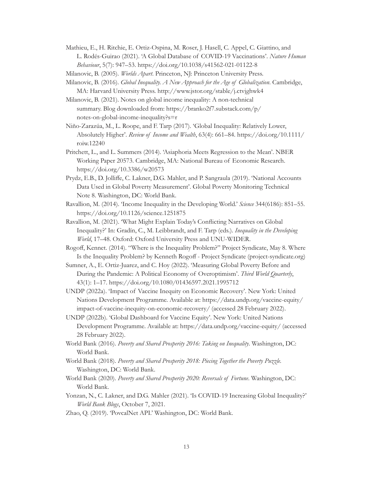- Mathieu, E., H. Ritchie, E. Ortiz-Ospina, M. Roser, J. Hasell, C. Appel, C. Giattino, and L. Rodés-Guirao (2021). 'A Global Database of COVID-19 Vaccinations'. *Nature Human Behaviour*, 5(7): 947–53.<https://doi.org/10.1038/s41562-021-01122-8>
- Milanovic, B. (2005). *Worlds Apart*. Princeton, NJ: Princeton University Press.
- Milanovic, B. (2016). *Global Inequality. A New Approach for the Age of Globalization*. Cambridge, MA: Harvard University Press. <http://www.jstor.org/stable/j.ctvjghwk4>
- Milanovic, B. (2021). Notes on global income inequality: A non-technical summary. Blog downloaded from: https://branko2f7.substack.com/p/ notes-on-global-income-inequality?s=r
- Niño-Zarazúa, M., L. Roope, and F. Tarp (2017). 'Global Inequality: Relatively Lower, Absolutely Higher'. *Review of Income and Wealth*, 63(4): 661–84. [https://doi.org/10.1111/](https://doi.org/10.1111/roiw.12240) [roiw.12240](https://doi.org/10.1111/roiw.12240)
- Pritchett, L., and L. Summers (2014). 'Asiaphoria Meets Regression to the Mean'. NBER Working Paper 20573. Cambridge, MA: National Bureau of Economic Research. <https://doi.org/10.3386/w20573>
- Prydz, E.B., D. Jolliffe, C. Lakner, D.G. Mahler, and P. Sangraula (2019). 'National Accounts Data Used in Global Poverty Measurement'. Global Poverty Monitoring Technical Note 8. Washington, DC: World Bank.
- Ravallion, M. (2014). 'Income Inequality in the Developing World.' *Science* 344(6186): 851–55. <https://doi.org/10.1126/science.1251875>
- Ravallion, M. (2021). 'What Might Explain Today's Conflicting Narratives on Global Inequality?' In: Gradín, C., M. Leibbrandt, and F. Tarp (eds.). *Inequality in the Developing World*, 17–48. Oxford: Oxford University Press and UNU-WIDER.
- Rogoff, Kennet. (2014). "Where is the Inequality Problem?" Project Syndicate, May 8. [Where](https://www.project-syndicate.org/commentary/kenneth-rogoff-says-that-thomas-piketty-is-right-about-rich-countries--but-wrong-about-the-world?barrier=accesspaylog)  [Is the Inequality Problem? by Kenneth Rogoff - Project Syndicate \(project-syndicate.org\)](https://www.project-syndicate.org/commentary/kenneth-rogoff-says-that-thomas-piketty-is-right-about-rich-countries--but-wrong-about-the-world?barrier=accesspaylog)
- Sumner, A., E. Ortiz-Juarez, and C. Hoy (2022). 'Measuring Global Poverty Before and During the Pandemic: A Political Economy of Overoptimism'. *Third World Quarterly*, 43(1): 1–17. <https://doi.org/10.1080/01436597.2021.1995712>
- UNDP (2022a). 'Impact of Vaccine Inequity on Economic Recovery'. New York: United Nations Development Programme. Available at: [https://data.undp.org/vaccine-equity/](https://data.undp.org/vaccine-equity/impact-of-vaccine-inequity-on-economic-recovery/) [impact-of-vaccine-inequity-on-economic-recovery/](https://data.undp.org/vaccine-equity/impact-of-vaccine-inequity-on-economic-recovery/) (accessed 28 February 2022).
- UNDP (2022b). 'Global Dashboard for Vaccine Equity'. New York: United Nations Development Programme. Available at: <https://data.undp.org/vaccine-equity/>(accessed 28 February 2022).
- World Bank (2016). *Poverty and Shared Prosperity 2016: Taking on Inequality*. Washington, DC: World Bank.
- World Bank (2018). *Poverty and Shared Prosperity 2018: Piecing Together the Poverty Puzzle.* Washington, DC: World Bank.
- World Bank (2020). *Poverty and Shared Prosperity 2020: Reversals of Fortune*. Washington, DC: World Bank.
- Yonzan, N., C. Lakner, and D.G. Mahler (2021). 'Is COVID-19 Increasing Global Inequality?' *World Bank Blogs*, October 7, 2021.
- Zhao, Q. (2019). 'PovcalNet API.' Washington, DC: World Bank.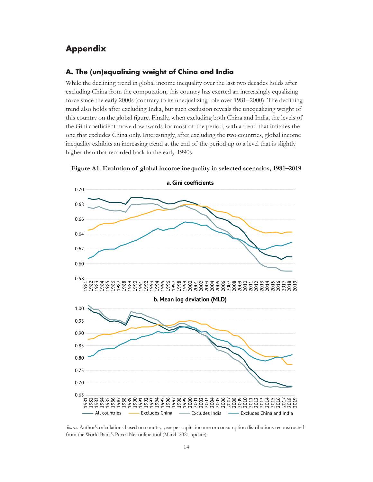## <span id="page-17-0"></span>**Appendix**

#### **A. The (un)equalizing weight of China and India**

While the declining trend in global income inequality over the last two decades holds after excluding China from the computation, this country has exerted an increasingly equalizing force since the early 2000s (contrary to its unequalizing role over 1981–2000). The declining trend also holds after excluding India, but such exclusion reveals the unequalizing weight of this country on the global figure. Finally, when excluding both China and India, the levels of the Gini coefficient move downwards for most of the period, with a trend that imitates the one that excludes China only. Interestingly, after excluding the two countries, global income inequality exhibits an increasing trend at the end of the period up to a level that is slightly higher than that recorded back in the early-1990s.



**Figure A1. Evolution of global income inequality in selected scenarios, 1981–2019**

*Source:* Author's calculations based on country-year per capita income or consumption distributions reconstructed from the World Bank's PovcalNet online tool (March 2021 update).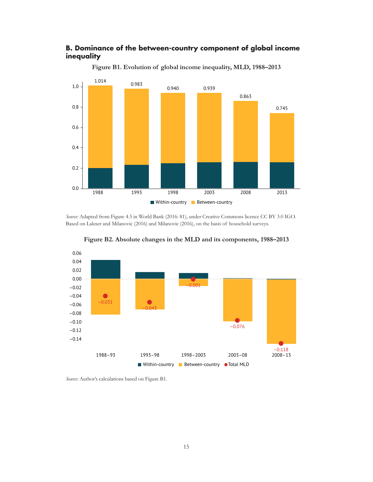## <span id="page-18-0"></span>**B. Dominance of the between-country component of global income inequality**



**Figure B1. Evolution of global income inequality, MLD, 1988–2013**

*Source:* Adapted from Figure 4.5 in World Bank (2016: 81), under Creative Commons licence CC BY 3.0 IGO. Based on Lakner and Milanovic (2016) and Milanovic (2016), on the basis of household surveys.



**Figure B2. Absolute changes in the MLD and its components, 1988–2013**

*Source:* Author's calculations based on Figure B1.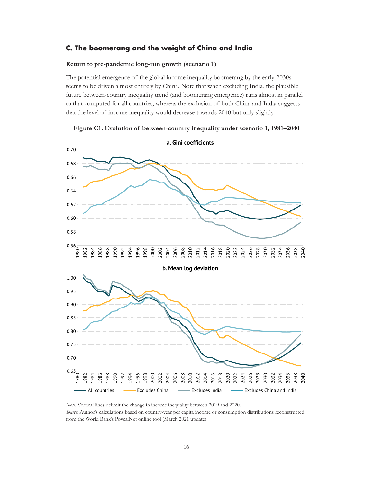#### <span id="page-19-0"></span>**C. The boomerang and the weight of China and India**

#### **Return to pre-pandemic long-run growth (scenario 1)**

The potential emergence of the global income inequality boomerang by the early-2030s seems to be driven almost entirely by China. Note that when excluding India, the plausible future between-country inequality trend (and boomerang emergence) runs almost in parallel to that computed for all countries, whereas the exclusion of both China and India suggests that the level of income inequality would decrease towards 2040 but only slightly.



**Figure C1. Evolution of between-country inequality under scenario 1, 1981–2040**

*Note:* Vertical lines delimit the change in income inequality between 2019 and 2020. *Source:* Author's calculations based on country-year per capita income or consumption distributions reconstructed from the World Bank's PovcalNet online tool (March 2021 update).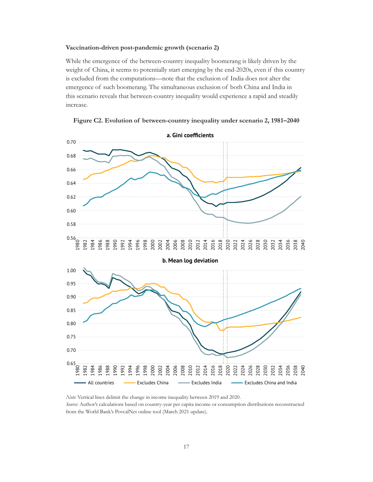#### <span id="page-20-0"></span>**Vaccination-driven post-pandemic growth (scenario 2)**

While the emergence of the between-country inequality boomerang is likely driven by the weight of China, it seems to potentially start emerging by the end-2020s, even if this country is excluded from the computations—note that the exclusion of India does not alter the emergence of such boomerang. The simultaneous exclusion of both China and India in this scenario reveals that between-country inequality would experience a rapid and steadily increase.





*Note:* Vertical lines delimit the change in income inequality between 2019 and 2020. *Source:* Author's calculations based on country-year per capita income or consumption distributions reconstructed from the World Bank's PovcalNet online tool (March 2021 update).